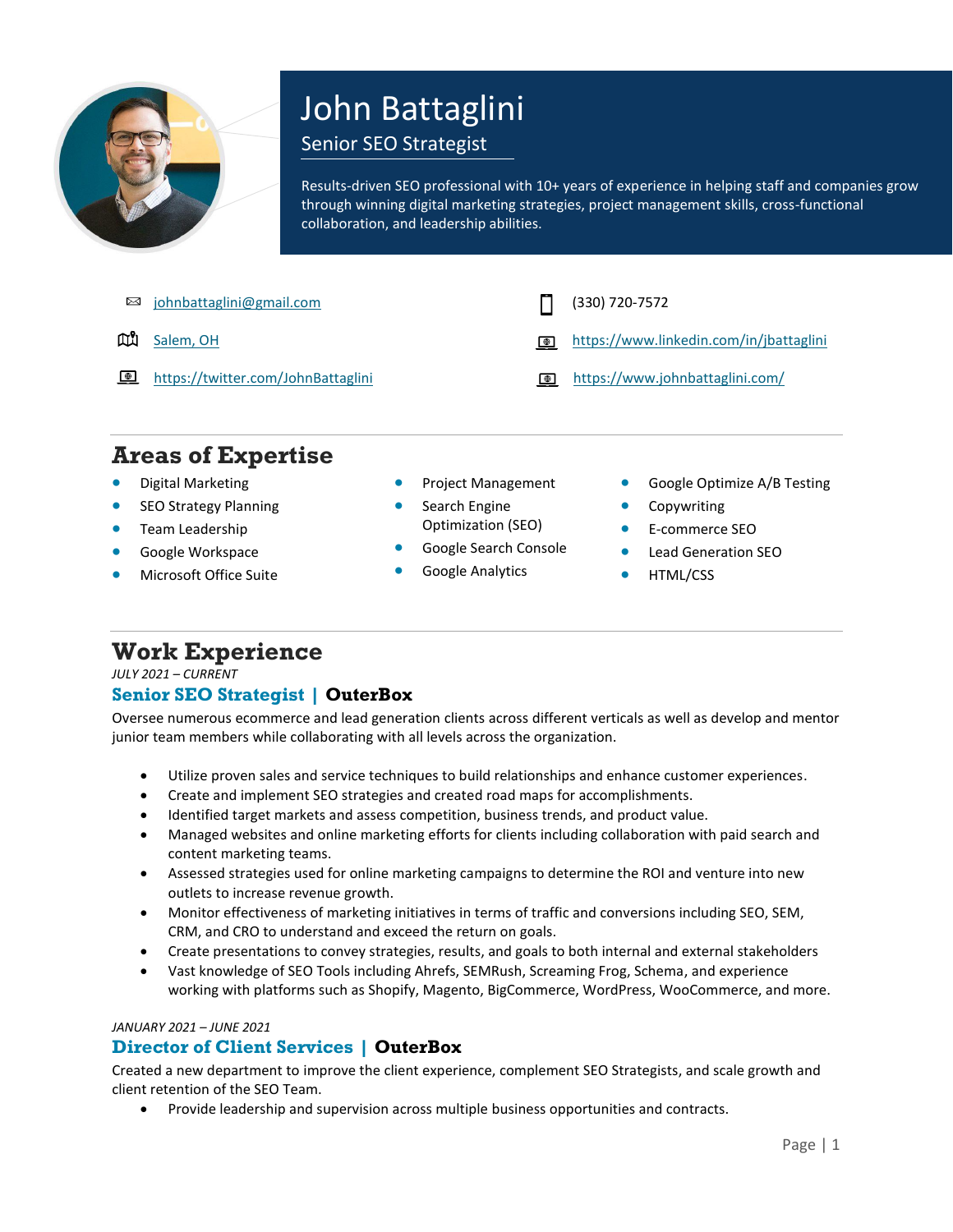

# John Battaglini

### Senior SEO Strategist

Results-driven SEO professional with 10+ years of experience in helping staff and companies grow through winning digital marketing strategies, project management skills, cross-functional collaboration, and leadership abilities.

[johnbattaglini@gmail.com](mailto:johnbattaglini@gmail.com) (330) 720-7572  $\boxtimes$ ωű [Salem, OH](https://goo.gl/maps/yk8Z5MRTfiDjEk1m8) <https://www.linkedin.com/in/jbattaglini>  $\bigoplus$ **E** <https://twitter.com/JohnBattaglini> <https://www.johnbattaglini.com/>

## **Areas of Expertise**

- Digital Marketing
- **SEO Strategy Planning**
- Team Leadership
- Google Workspace
- Microsoft Office Suite
- Project Management
- Search Engine Optimization (SEO)
- Google Search Console
- Google Analytics
- Google Optimize A/B Testing
- **Copywriting**
- E-commerce SEO
- Lead Generation SEO
- HTML/CSS

# **Work Experience**

#### *JULY 2021 – CURRENT* **Senior SEO Strategist | OuterBox**

Oversee numerous ecommerce and lead generation clients across different verticals as well as develop and mentor junior team members while collaborating with all levels across the organization.

- Utilize proven sales and service techniques to build relationships and enhance customer experiences.
- Create and implement SEO strategies and created road maps for accomplishments.
- Identified target markets and assess competition, business trends, and product value.
- Managed websites and online marketing efforts for clients including collaboration with paid search and content marketing teams.
- Assessed strategies used for online marketing campaigns to determine the ROI and venture into new outlets to increase revenue growth.
- Monitor effectiveness of marketing initiatives in terms of traffic and conversions including SEO, SEM, CRM, and CRO to understand and exceed the return on goals.
- Create presentations to convey strategies, results, and goals to both internal and external stakeholders
- Vast knowledge of SEO Tools including Ahrefs, SEMRush, Screaming Frog, Schema, and experience working with platforms such as Shopify, Magento, BigCommerce, WordPress, WooCommerce, and more.

#### *JANUARY 2021 – JUNE 2021*

#### **Director of Client Services | OuterBox**

Created a new department to improve the client experience, complement SEO Strategists, and scale growth and client retention of the SEO Team.

• Provide leadership and supervision across multiple business opportunities and contracts.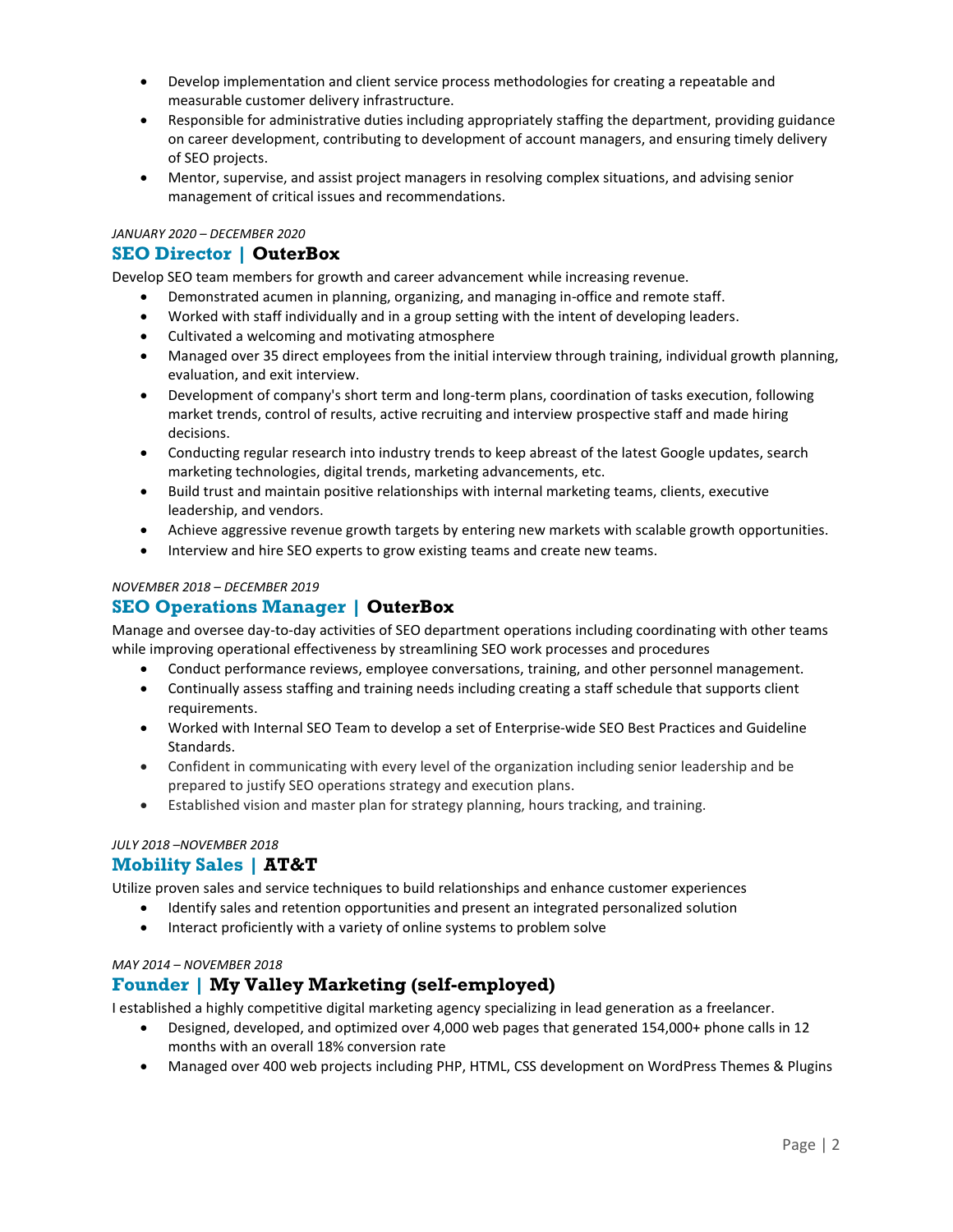- Develop implementation and client service process methodologies for creating a repeatable and measurable customer delivery infrastructure.
- Responsible for administrative duties including appropriately staffing the department, providing guidance on career development, contributing to development of account managers, and ensuring timely delivery of SEO projects.
- Mentor, supervise, and assist project managers in resolving complex situations, and advising senior management of critical issues and recommendations.

#### *JANUARY 2020 – DECEMBER 2020*

#### **SEO Director | OuterBox**

Develop SEO team members for growth and career advancement while increasing revenue.

- Demonstrated acumen in planning, organizing, and managing in-office and remote staff.
- Worked with staff individually and in a group setting with the intent of developing leaders.
- Cultivated a welcoming and motivating atmosphere
- Managed over 35 direct employees from the initial interview through training, individual growth planning, evaluation, and exit interview.
- Development of company's short term and long-term plans, coordination of tasks execution, following market trends, control of results, active recruiting and interview prospective staff and made hiring decisions.
- Conducting regular research into industry trends to keep abreast of the latest Google updates, search marketing technologies, digital trends, marketing advancements, etc.
- Build trust and maintain positive relationships with internal marketing teams, clients, executive leadership, and vendors.
- Achieve aggressive revenue growth targets by entering new markets with scalable growth opportunities.
- Interview and hire SEO experts to grow existing teams and create new teams.

#### *NOVEMBER 2018 – DECEMBER 2019*

#### **SEO Operations Manager | OuterBox**

Manage and oversee day-to-day activities of SEO department operations including coordinating with other teams while improving operational effectiveness by streamlining SEO work processes and procedures

- Conduct performance reviews, employee conversations, training, and other personnel management.
- Continually assess staffing and training needs including creating a staff schedule that supports client requirements.
- Worked with Internal SEO Team to develop a set of Enterprise-wide SEO Best Practices and Guideline Standards.
- Confident in communicating with every level of the organization including senior leadership and be prepared to justify SEO operations strategy and execution plans.
- Established vision and master plan for strategy planning, hours tracking, and training.

#### *JULY 2018 –NOVEMBER 2018*

#### **Mobility Sales | AT&T**

Utilize proven sales and service techniques to build relationships and enhance customer experiences

- Identify sales and retention opportunities and present an integrated personalized solution
- Interact proficiently with a variety of online systems to problem solve

#### *MAY 2014 – NOVEMBER 2018*

#### **Founder | My Valley Marketing (self-employed)**

I established a highly competitive digital marketing agency specializing in lead generation as a freelancer.

- Designed, developed, and optimized over 4,000 web pages that generated 154,000+ phone calls in 12 months with an overall 18% conversion rate
- Managed over 400 web projects including PHP, HTML, CSS development on WordPress Themes & Plugins